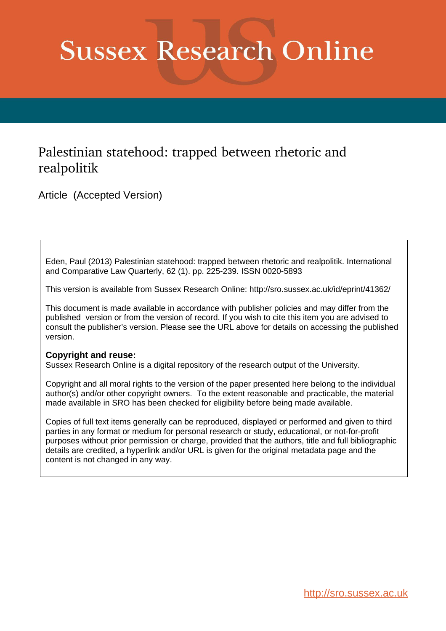# **Sussex Research Online**

## Palestinian statehood: trapped between rhetoric and realpolitik

Article (Accepted Version)

Eden, Paul (2013) Palestinian statehood: trapped between rhetoric and realpolitik. International and Comparative Law Quarterly, 62 (1). pp. 225-239. ISSN 0020-5893

This version is available from Sussex Research Online: http://sro.sussex.ac.uk/id/eprint/41362/

This document is made available in accordance with publisher policies and may differ from the published version or from the version of record. If you wish to cite this item you are advised to consult the publisher's version. Please see the URL above for details on accessing the published version.

#### **Copyright and reuse:**

Sussex Research Online is a digital repository of the research output of the University.

Copyright and all moral rights to the version of the paper presented here belong to the individual author(s) and/or other copyright owners. To the extent reasonable and practicable, the material made available in SRO has been checked for eligibility before being made available.

Copies of full text items generally can be reproduced, displayed or performed and given to third parties in any format or medium for personal research or study, educational, or not-for-profit purposes without prior permission or charge, provided that the authors, title and full bibliographic details are credited, a hyperlink and/or URL is given for the original metadata page and the content is not changed in any way.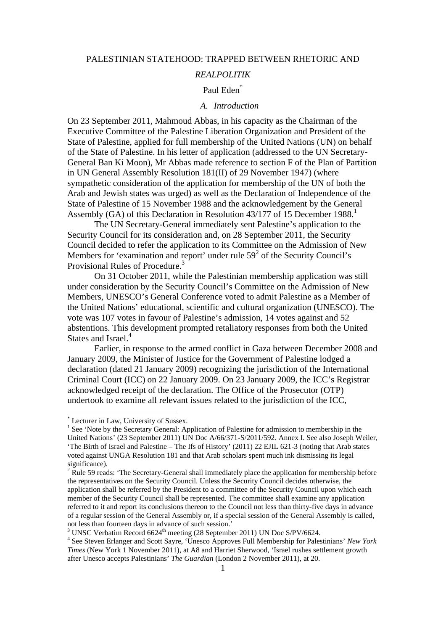#### PALESTINIAN STATEHOOD: TRAPPED BETWEEN RHETORIC AND

#### *REALPOLITIK*

#### Paul Eden\*

#### *A. Introduction*

On 23 September 2011, Mahmoud Abbas, in his capacity as the Chairman of the Executive Committee of the Palestine Liberation Organization and President of the State of Palestine, applied for full membership of the United Nations (UN) on behalf of the State of Palestine. In his letter of application (addressed to the UN Secretary-General Ban Ki Moon), Mr Abbas made reference to section F of the Plan of Partition in UN General Assembly Resolution 181(II) of 29 November 1947) (where sympathetic consideration of the application for membership of the UN of both the Arab and Jewish states was urged) as well as the Declaration of Independence of the State of Palestine of 15 November 1988 and the acknowledgement by the General Assembly (GA) of this Declaration in Resolution  $43/177$  of 15 December 1988.<sup>1</sup>

The UN Secretary-General immediately sent Palestine's application to the Security Council for its consideration and, on 28 September 2011, the Security Council decided to refer the application to its Committee on the Admission of New Members for 'examination and report' under rule  $59<sup>2</sup>$  of the Security Council's Provisional Rules of Procedure.<sup>3</sup>

On 31 October 2011, while the Palestinian membership application was still under consideration by the Security Council's Committee on the Admission of New Members, UNESCO's General Conference voted to admit Palestine as a Member of the United Nations' educational, scientific and cultural organization (UNESCO). The vote was 107 votes in favour of Palestine's admission, 14 votes against and 52 abstentions. This development prompted retaliatory responses from both the United States and Israel.<sup>4</sup>

Earlier, in response to the armed conflict in Gaza between December 2008 and January 2009, the Minister of Justice for the Government of Palestine lodged a declaration (dated 21 January 2009) recognizing the jurisdiction of the International Criminal Court (ICC) on 22 January 2009. On 23 January 2009, the ICC's Registrar acknowledged receipt of the declaration. The Office of the Prosecutor (OTP) undertook to examine all relevant issues related to the jurisdiction of the ICC,

<sup>\*</sup> Lecturer in Law, University of Sussex.

<sup>&</sup>lt;sup>1</sup> See 'Note by the Secretary General: Application of Palestine for admission to membership in the United Nations' (23 September 2011) UN Doc A/66/371-S/2011/592. Annex I. See also Joseph Weiler, 'The Birth of Israel and Palestine – The Ifs of History' (2011) 22 EJIL 621-3 (noting that Arab states voted against UNGA Resolution 181 and that Arab scholars spent much ink dismissing its legal significance).

 $2 \text{ Rule } 59 \text{ reads: }$  The Secretary-General shall immediately place the application for membership before the representatives on the Security Council. Unless the Security Council decides otherwise, the application shall be referred by the President to a committee of the Security Council upon which each member of the Security Council shall be represented. The committee shall examine any application referred to it and report its conclusions thereon to the Council not less than thirty-five days in advance of a regular session of the General Assembly or, if a special session of the General Assembly is called, not less than fourteen days in advance of such session.'<br><sup>3</sup> UNSC Verbatim Record 6624<sup>th</sup> meeting (28 September 2011) UN Doc S/PV/6624.

<sup>&</sup>lt;sup>4</sup> See Steven Erlanger and Scott Sayre, 'Unesco Approves Full Membership for Palestinians' *New York Times* (New York 1 November 2011), at A8 and Harriet Sherwood, 'Israel rushes settlement growth after Unesco accepts Palestinians' *The Guardian* (London 2 November 2011), at 20.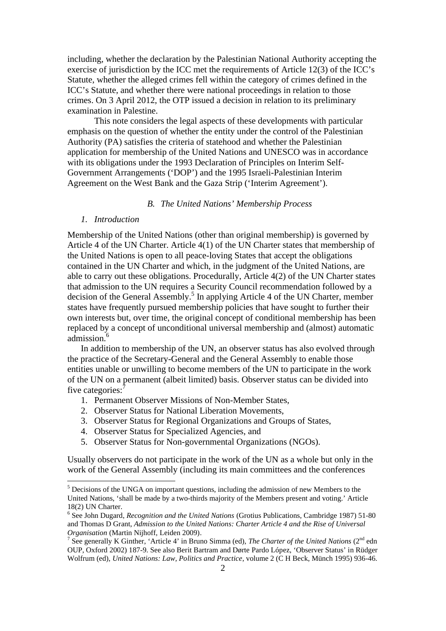including, whether the declaration by the Palestinian National Authority accepting the exercise of jurisdiction by the ICC met the requirements of Article 12(3) of the ICC's Statute, whether the alleged crimes fell within the category of crimes defined in the ICC's Statute, and whether there were national proceedings in relation to those crimes. On 3 April 2012, the OTP issued a decision in relation to its preliminary examination in Palestine.

This note considers the legal aspects of these developments with particular emphasis on the question of whether the entity under the control of the Palestinian Authority (PA) satisfies the criteria of statehood and whether the Palestinian application for membership of the United Nations and UNESCO was in accordance with its obligations under the 1993 Declaration of Principles on Interim Self-Government Arrangements ('DOP') and the 1995 Israeli-Palestinian Interim Agreement on the West Bank and the Gaza Strip ('Interim Agreement').

#### *B. The United Nations' Membership Process*

#### *1. Introduction*

Membership of the United Nations (other than original membership) is governed by Article 4 of the UN Charter. Article 4(1) of the UN Charter states that membership of the United Nations is open to all peace-loving States that accept the obligations contained in the UN Charter and which, in the judgment of the United Nations, are able to carry out these obligations. Procedurally, Article 4(2) of the UN Charter states that admission to the UN requires a Security Council recommendation followed by a decision of the General Assembly.<sup>5</sup> In applying Article 4 of the UN Charter, member states have frequently pursued membership policies that have sought to further their own interests but, over time, the original concept of conditional membership has been replaced by a concept of unconditional universal membership and (almost) automatic admission.<sup>6</sup>

In addition to membership of the UN, an observer status has also evolved through the practice of the Secretary-General and the General Assembly to enable those entities unable or unwilling to become members of the UN to participate in the work of the UN on a permanent (albeit limited) basis. Observer status can be divided into five categories:<sup>7</sup>

- 1. Permanent Observer Missions of Non-Member States,
- 2. Observer Status for National Liberation Movements,
- 3. Observer Status for Regional Organizations and Groups of States,
- 4. Observer Status for Specialized Agencies, and
- 5. Observer Status for Non-governmental Organizations (NGOs).

Usually observers do not participate in the work of the UN as a whole but only in the work of the General Assembly (including its main committees and the conferences

<sup>&</sup>lt;sup>5</sup> Decisions of the UNGA on important questions, including the admission of new Members to the United Nations, 'shall be made by a two-thirds majority of the Members present and voting.' Article 18(2) UN Charter.

<sup>6</sup> See John Dugard, *Recognition and the United Nations* (Grotius Publications, Cambridge 1987) 51-80 and Thomas D Grant, *Admission to the United Nations: Charter Article 4 and the Rise of Universal* 

<sup>&</sup>lt;sup>7</sup> See generally K Ginther, 'Article 4' in Bruno Simma (ed), *The Charter of the United Nations* ( $2<sup>nd</sup>$  edn OUP, Oxford 2002) 187-9. See also Berit Bartram and Dørte Pardo López, 'Observer Status' in Rüdger Wolfrum (ed), *United Nations: Law, Politics and Practice*, volume 2 (C H Beck, Münch 1995) 936-46.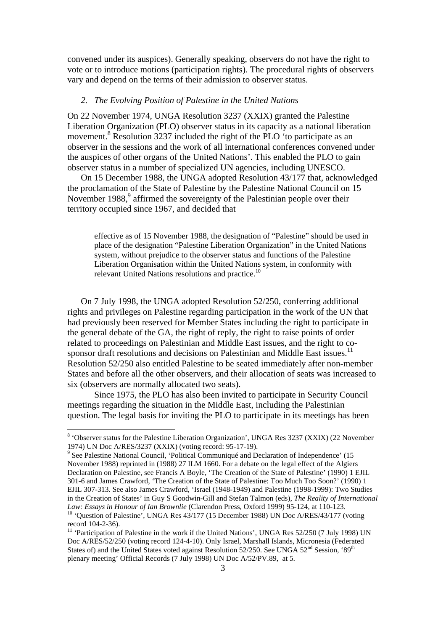convened under its auspices). Generally speaking, observers do not have the right to vote or to introduce motions (participation rights). The procedural rights of observers vary and depend on the terms of their admission to observer status.

#### *2. The Evolving Position of Palestine in the United Nations*

On 22 November 1974, UNGA Resolution 3237 (XXIX) granted the Palestine Liberation Organization (PLO) observer status in its capacity as a national liberation movement.<sup>8</sup> Resolution 3237 included the right of the PLO 'to participate as an observer in the sessions and the work of all international conferences convened under the auspices of other organs of the United Nations'. This enabled the PLO to gain observer status in a number of specialized UN agencies, including UNESCO.

On 15 December 1988, the UNGA adopted Resolution 43/177 that, acknowledged the proclamation of the State of Palestine by the Palestine National Council on 15 November 1988,<sup>9</sup> affirmed the sovereignty of the Palestinian people over their territory occupied since 1967, and decided that

effective as of 15 November 1988, the designation of "Palestine" should be used in place of the designation "Palestine Liberation Organization" in the United Nations system, without prejudice to the observer status and functions of the Palestine Liberation Organisation within the United Nations system, in conformity with relevant United Nations resolutions and practice.<sup>10</sup>

On 7 July 1998, the UNGA adopted Resolution 52/250, conferring additional rights and privileges on Palestine regarding participation in the work of the UN that had previously been reserved for Member States including the right to participate in the general debate of the GA, the right of reply, the right to raise points of order related to proceedings on Palestinian and Middle East issues, and the right to cosponsor draft resolutions and decisions on Palestinian and Middle East issues.<sup>11</sup> Resolution 52/250 also entitled Palestine to be seated immediately after non-member States and before all the other observers, and their allocation of seats was increased to six (observers are normally allocated two seats).

Since 1975, the PLO has also been invited to participate in Security Council meetings regarding the situation in the Middle East, including the Palestinian question. The legal basis for inviting the PLO to participate in its meetings has been

<sup>&</sup>lt;sup>8</sup> 'Observer status for the Palestine Liberation Organization', UNGA Res 3237 (XXIX) (22 November 1974) UN Doc A/RES/3237 (XXIX) (voting record: 95-17-19).

<sup>&</sup>lt;sup>9</sup> See Palestine National Council, 'Political Communiqué and Declaration of Independence' (15 November 1988) reprinted in (1988) 27 ILM 1660. For a debate on the legal effect of the Algiers Declaration on Palestine, see Francis A Boyle, 'The Creation of the State of Palestine' (1990) 1 EJIL 301-6 and James Crawford, 'The Creation of the State of Palestine: Too Much Too Soon?' (1990) 1 EJIL 307-313. See also James Crawford, 'Israel (1948-1949) and Palestine (1998-1999): Two Studies in the Creation of States' in Guy S Goodwin-Gill and Stefan Talmon (eds), *The Reality of International Law: Essays in Honour of Ian Brownlie* (Clarendon Press, Oxford 1999) 95-124, at 110-123.<br><sup>10</sup> 'Question of Palestine', UNGA Res 43/177 (15 December 1988) UN Doc A/RES/43/177 (voting

record 104-2-36).

<sup>&</sup>lt;sup>11</sup> 'Participation of Palestine in the work if the United Nations', UNGA Res  $52/250$  (7 July 1998) UN Doc A/RES/52/250 (voting record 124-4-10). Only Israel, Marshall Islands, Micronesia (Federated States of) and the United States voted against Resolution 52/250. See UNGA 52<sup>nd</sup> Session, '89<sup>th</sup> plenary meeting' Official Records (7 July 1998) UN Doc A/52/PV.89, at 5.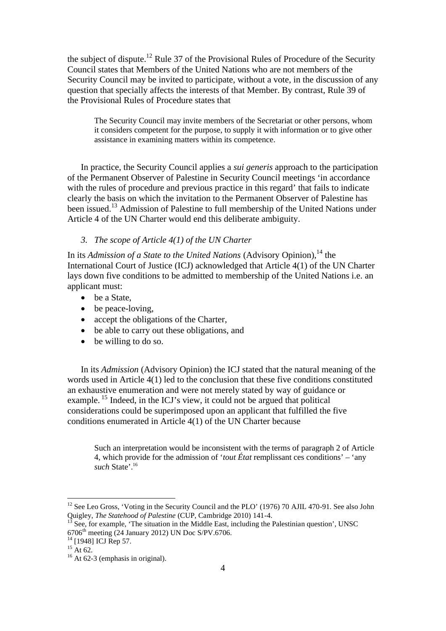the subject of dispute.<sup>12</sup> Rule 37 of the Provisional Rules of Procedure of the Security Council states that Members of the United Nations who are not members of the Security Council may be invited to participate, without a vote, in the discussion of any question that specially affects the interests of that Member. By contrast, Rule 39 of the Provisional Rules of Procedure states that

The Security Council may invite members of the Secretariat or other persons, whom it considers competent for the purpose, to supply it with information or to give other assistance in examining matters within its competence.

In practice, the Security Council applies a *sui generis* approach to the participation of the Permanent Observer of Palestine in Security Council meetings 'in accordance with the rules of procedure and previous practice in this regard' that fails to indicate clearly the basis on which the invitation to the Permanent Observer of Palestine has been issued.<sup>13</sup> Admission of Palestine to full membership of the United Nations under Article 4 of the UN Charter would end this deliberate ambiguity.

#### *3. The scope of Article 4(1) of the UN Charter*

In its *Admission of a State to the United Nations* (Advisory Opinion),<sup>14</sup> the International Court of Justice (ICJ) acknowledged that Article 4(1) of the UN Charter lays down five conditions to be admitted to membership of the United Nations i.e. an applicant must:

- ∑ be a State,
- be peace-loving,
- accept the obligations of the Charter,
- be able to carry out these obligations, and
- be willing to do so.

In its *Admission* (Advisory Opinion) the ICJ stated that the natural meaning of the words used in Article 4(1) led to the conclusion that these five conditions constituted an exhaustive enumeration and were not merely stated by way of guidance or example.<sup>15</sup> Indeed, in the ICJ's view, it could not be argued that political considerations could be superimposed upon an applicant that fulfilled the five conditions enumerated in Article 4(1) of the UN Charter because

Such an interpretation would be inconsistent with the terms of paragraph 2 of Article 4, which provide for the admission of '*tout État* remplissant ces conditions' – 'any *such* State'.16

<sup>&</sup>lt;sup>12</sup> See Leo Gross, 'Voting in the Security Council and the PLO' (1976) 70 AJIL 470-91. See also John Quigley, *The Statehood of Palestine* (CUP, Cambridge 2010) 141-4.

<sup>&</sup>lt;sup>13</sup> See, for example, 'The situation in the Middle East, including the Palestinian question', UNSC 6706<sup>th</sup> meeting (24 January 2012) UN Doc S/PV.6706.<br><sup>14</sup> [1948] ICJ Rep 57.<br><sup>15</sup> At 62.<br><sup>16</sup> At 62-3 (emphasis in original).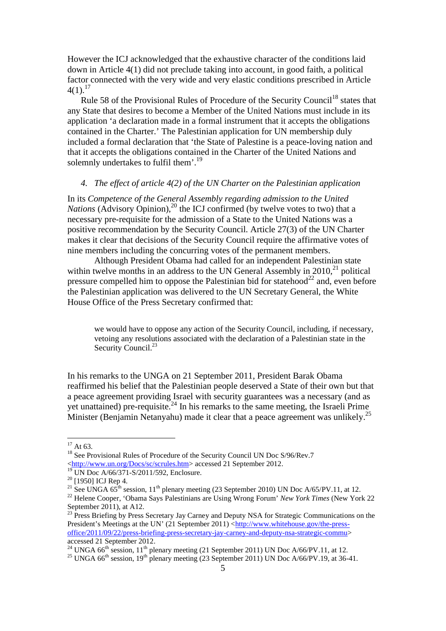However the ICJ acknowledged that the exhaustive character of the conditions laid down in Article 4(1) did not preclude taking into account, in good faith, a political factor connected with the very wide and very elastic conditions prescribed in Article  $4(1).^{17}$ 

Rule 58 of the Provisional Rules of Procedure of the Security Council<sup>18</sup> states that any State that desires to become a Member of the United Nations must include in its application 'a declaration made in a formal instrument that it accepts the obligations contained in the Charter.' The Palestinian application for UN membership duly included a formal declaration that 'the State of Palestine is a peace-loving nation and that it accepts the obligations contained in the Charter of the United Nations and solemnly undertakes to fulfil them'.<sup>19</sup>

#### *4. The effect of article 4(2) of the UN Charter on the Palestinian application*

In its *Competence of the General Assembly regarding admission to the United Nations* (Advisory Opinion),<sup>20</sup> the ICJ confirmed (by twelve votes to two) that a necessary pre-requisite for the admission of a State to the United Nations was a positive recommendation by the Security Council. Article 27(3) of the UN Charter makes it clear that decisions of the Security Council require the affirmative votes of nine members including the concurring votes of the permanent members.

Although President Obama had called for an independent Palestinian state within twelve months in an address to the UN General Assembly in  $2010<sup>21</sup>$  political pressure compelled him to oppose the Palestinian bid for statehood<sup>22</sup> and, even before the Palestinian application was delivered to the UN Secretary General, the White House Office of the Press Secretary confirmed that:

we would have to oppose any action of the Security Council, including, if necessary, vetoing any resolutions associated with the declaration of a Palestinian state in the Security Council.<sup>23</sup>

In his remarks to the UNGA on 21 September 2011, President Barak Obama reaffirmed his belief that the Palestinian people deserved a State of their own but that a peace agreement providing Israel with security guarantees was a necessary (and as yet unattained) pre-requisite. $^{24}$  In his remarks to the same meeting, the Israeli Prime Minister (Benjamin Netanyahu) made it clear that a peace agreement was unlikely.<sup>25</sup>

<sup>&</sup>lt;sup>17</sup> At 63. <sup>18</sup> See Provisional Rules of Procedure of the Security Council UN Doc S/96/Rev.7 [<http://www.un.org/Docs/sc/scrules.htm>](http://www.un.org/Docs/sc/scrules.htm) accessed 21 September 2012.<br><sup>19</sup> UN Doc A/66/371-S/2011/592, Enclosure.

<sup>&</sup>lt;sup>20</sup> [1950] ICJ Rep 4.<br><sup>21</sup> See UNGA 65<sup>th</sup> session, 11<sup>th</sup> plenary meeting (23 September 2010) UN Doc A/65/PV.11, at 12.<br><sup>22</sup> Helene Cooper, 'Obama Says Palestinians are Using Wrong Forum' *New York Times* (New York 22

September 2011), at A12.

<sup>&</sup>lt;sup>23</sup> Press Briefing by Press Secretary Jay Carney and Deputy NSA for Strategic Communications on the President's Meetings at the UN' (21 September 2011) [<http://www.whitehouse.gov/the-press](http://www.whitehouse.gov/the-press-office/2011/09/22/press-briefing-press-secretary-jay-carney-and-deputy-nsa-strategic-commu)[office/2011/09/22/press-briefing-press-secretary-jay-carney-and-deputy-nsa-strategic-commu>](http://www.whitehouse.gov/the-press-office/2011/09/22/press-briefing-press-secretary-jay-carney-and-deputy-nsa-strategic-commu) accessed 21 September 2012.

<sup>&</sup>lt;sup>24</sup> UNGA 66<sup>th</sup> session, 11<sup>th</sup> plenary meeting (21 September 2011) UN Doc A/66/PV.11, at 12.<br><sup>25</sup> UNGA 66<sup>th</sup> session, 19<sup>th</sup> plenary meeting (23 September 2011) UN Doc A/66/PV.19, at 36-41.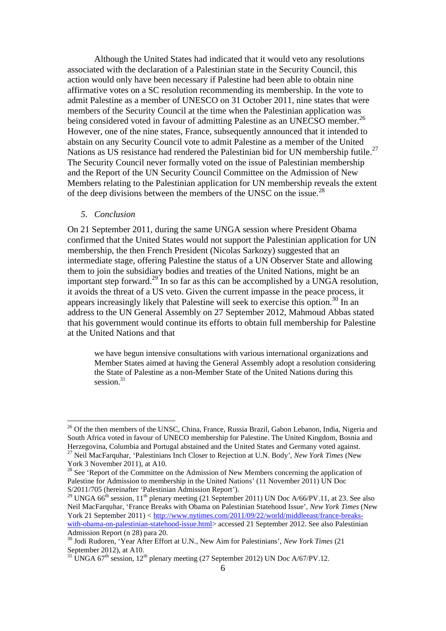Although the United States had indicated that it would veto any resolutions associated with the declaration of a Palestinian state in the Security Council, this action would only have been necessary if Palestine had been able to obtain nine affirmative votes on a SC resolution recommending its membership. In the vote to admit Palestine as a member of UNESCO on 31 October 2011, nine states that were members of the Security Council at the time when the Palestinian application was being considered voted in favour of admitting Palestine as an UNECSO member.<sup>26</sup> However, one of the nine states, France, subsequently announced that it intended to abstain on any Security Council vote to admit Palestine as a member of the United Nations as US resistance had rendered the Palestinian bid for UN membership futile.<sup>27</sup> The Security Council never formally voted on the issue of Palestinian membership and the Report of the UN Security Council Committee on the Admission of New Members relating to the Palestinian application for UN membership reveals the extent of the deep divisions between the members of the UNSC on the issue.<sup>28</sup>

#### *5. Conclusion*

On 21 September 2011, during the same UNGA session where President Obama confirmed that the United States would not support the Palestinian application for UN membership, the then French President (Nicolas Sarkozy) suggested that an intermediate stage, offering Palestine the status of a UN Observer State and allowing them to join the subsidiary bodies and treaties of the United Nations, might be an important step forward.<sup>29</sup> In so far as this can be accomplished by a UNGA resolution, it avoids the threat of a US veto. Given the current impasse in the peace process, it appears increasingly likely that Palestine will seek to exercise this option.<sup>30</sup> In an address to the UN General Assembly on 27 September 2012, Mahmoud Abbas stated that his government would continue its efforts to obtain full membership for Palestine at the United Nations and that

we have begun intensive consultations with various international organizations and Member States aimed at having the General Assembly adopt a resolution considering the State of Palestine as a non-Member State of the United Nations during this session.<sup>31</sup>

<sup>&</sup>lt;sup>26</sup> Of the then members of the UNSC, China, France, Russia Brazil, Gabon Lebanon, India, Nigeria and South Africa voted in favour of UNECO membership for Palestine. The United Kingdom, Bosnia and Herzegovina, Columbia and Portugal abstained and the United States and Germany voted against.

<sup>27</sup> Neil MacFarquhar, 'Palestinians Inch Closer to Rejection at U.N. Body', *New York Times* (New York 3 November 2011), at A10.

<sup>&</sup>lt;sup>28</sup> See 'Report of the Committee on the Admission of New Members concerning the application of Palestine for Admission to membership in the United Nations' (11 November 2011) UN Doc S/2011/705 (hereinafter 'Palestinian Admission Report').

<sup>&</sup>lt;sup>29</sup> UNGA 66<sup>th</sup> session, 11<sup>th</sup> plenary meeting (21 September 2011) UN Doc A/66/PV.11, at 23. See also Neil MacFarquhar, 'France Breaks with Obama on Palestinian Statehood Issue', *New York Times* (New York 21 September 2011) < [http://www.nytimes.com/2011/09/22/world/middleeast/france-breaks](http://www.nytimes.com/2011/09/22/world/middleeast/france-breaks-with-obama-on-palestinian-statehood-issue.html)[with-obama-on-palestinian-statehood-issue.html>](http://www.nytimes.com/2011/09/22/world/middleeast/france-breaks-with-obama-on-palestinian-statehood-issue.html) accessed 21 September 2012. See also Palestinian Admission Report (n 28) para 20.

<sup>30</sup> Jodi Rudoren, 'Year After Effort at U.N., New Aim for Palestinians', *New York Times* (21 September 2012), at A10.

 $31$  UNGA 67<sup>th</sup> session, 12<sup>th</sup> plenary meeting (27 September 2012) UN Doc A/67/PV.12.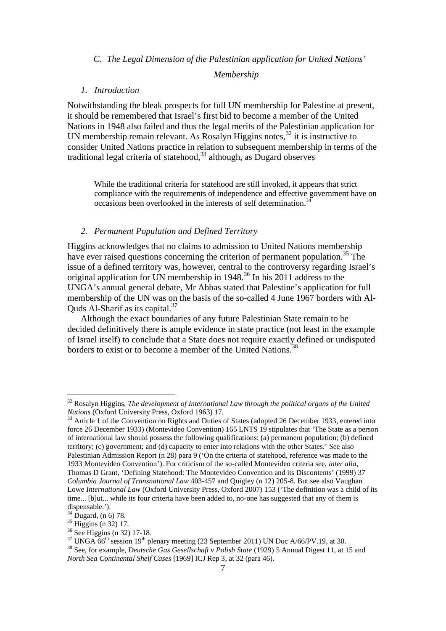#### *C. The Legal Dimension of the Palestinian application for United Nations'*

#### *Membership*

#### *1. Introduction*

Notwithstanding the bleak prospects for full UN membership for Palestine at present, it should be remembered that Israel's first bid to become a member of the United Nations in 1948 also failed and thus the legal merits of the Palestinian application for UN membership remain relevant. As Rosalyn Higgins notes,<sup>32</sup> it is instructive to consider United Nations practice in relation to subsequent membership in terms of the traditional legal criteria of statehood, $33$  although, as Dugard observes

While the traditional criteria for statehood are still invoked, it appears that strict compliance with the requirements of independence and effective government have on occasions been overlooked in the interests of self determination.<sup>3</sup>

#### *2. Permanent Population and Defined Territory*

Higgins acknowledges that no claims to admission to United Nations membership have ever raised questions concerning the criterion of permanent population.<sup>35</sup> The issue of a defined territory was, however, central to the controversy regarding Israel's original application for UN membership in 1948.<sup>36</sup> In his 2011 address to the UNGA's annual general debate, Mr Abbas stated that Palestine's application for full membership of the UN was on the basis of the so-called 4 June 1967 borders with Al-Quds Al-Sharif as its capital.<sup>37</sup>

Although the exact boundaries of any future Palestinian State remain to be decided definitively there is ample evidence in state practice (not least in the example of Israel itself) to conclude that a State does not require exactly defined or undisputed borders to exist or to become a member of the United Nations.<sup>38</sup>

<sup>32</sup> Rosalyn Higgins, *The development of International Law through the political organs of the United Nations* (Oxford University Press, Oxford 1963) 17.<br><sup>33</sup> Article 1 of the Convention on Rights and Duties of States (adopted 26 December 1933, entered into

force 26 December 1933) (Montevideo Convention) 165 LNTS 19 stipulates that 'The State as a person of international law should possess the following qualifications: (a) permanent population; (b) defined territory; (c) government; and (d) capacity to enter into relations with the other States.' See also Palestinian Admission Report (n 28) para 9 ('On the criteria of statehood, reference was made to the 1933 Montevideo Convention'). For criticism of the so-called Montevideo criteria see, *inter alia*, Thomas D Grant, 'Defining Statehood: The Montevideo Convention and its Discontents' (1999) 37 *Columbia Journal of Transnational Law* 403-457 and Quigley (n 12) 205-8. But see also Vaughan Lowe *International Law* (Oxford University Press, Oxford 2007) 153 ('The definition was a child of its time... [b]ut... while its four criteria have been added to, no-one has suggested that any of them is dispensable.').<br> $34 \text{ Dugard},$  (n 6) 78.

<sup>&</sup>lt;sup>35</sup> Higgins (n 32) 17.<br><sup>36</sup> See Higgins (n 32) 17-18.<br><sup>37</sup> UNGA 66<sup>th</sup> session 19<sup>th</sup> plenary meeting (23 September 2011) UN Doc A/66/PV.19, at 30.<br><sup>37</sup> See, for example, *Deutsche Gas Gesellschaft v Polish State* (1929) *North Sea Continental Shelf Cases* [1969] ICJ Rep 3, at 32 (para 46).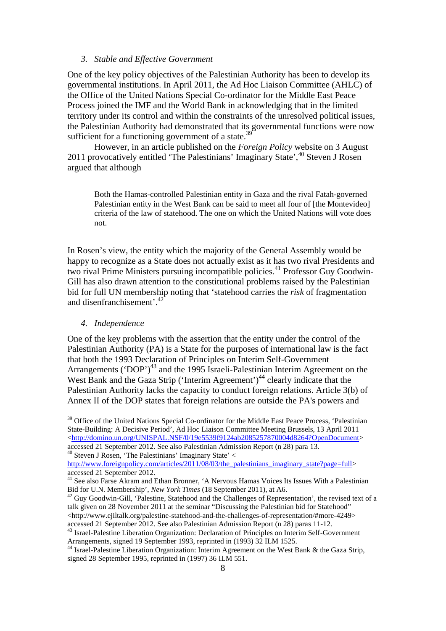#### *3. Stable and Effective Government*

One of the key policy objectives of the Palestinian Authority has been to develop its governmental institutions. In April 2011, the Ad Hoc Liaison Committee (AHLC) of the Office of the United Nations Special Co-ordinator for the Middle East Peace Process joined the IMF and the World Bank in acknowledging that in the limited territory under its control and within the constraints of the unresolved political issues, the Palestinian Authority had demonstrated that its governmental functions were now sufficient for a functioning government of a state. $39$ 

However, in an article published on the *Foreign Policy* website on 3 August 2011 provocatively entitled 'The Palestinians' Imaginary State',<sup>40</sup> Steven J Rosen argued that although

Both the Hamas-controlled Palestinian entity in Gaza and the rival Fatah-governed Palestinian entity in the West Bank can be said to meet all four of [the Montevideo] criteria of the law of statehood. The one on which the United Nations will vote does not.

In Rosen's view, the entity which the majority of the General Assembly would be happy to recognize as a State does not actually exist as it has two rival Presidents and two rival Prime Ministers pursuing incompatible policies.<sup>41</sup> Professor Guy Goodwin-Gill has also drawn attention to the constitutional problems raised by the Palestinian bid for full UN membership noting that 'statehood carries the *risk* of fragmentation and disenfranchisement'.<sup>42</sup>

#### *4. Independence*

One of the key problems with the assertion that the entity under the control of the Palestinian Authority (PA) is a State for the purposes of international law is the fact that both the 1993 Declaration of Principles on Interim Self-Government Arrangements ('DOP')<sup>43</sup> and the 1995 Israeli-Palestinian Interim Agreement on the West Bank and the Gaza Strip ('Interim Agreement')<sup>44</sup> clearly indicate that the Palestinian Authority lacks the capacity to conduct foreign relations. Article 3(b) of Annex II of the DOP states that foreign relations are outside the PA's powers and

<sup>&</sup>lt;sup>39</sup> Office of the United Nations Special Co-ordinator for the Middle East Peace Process, 'Palestinian State-Building: A Decisive Period', Ad Hoc Liaison Committee Meeting Brussels, 13 April 2011 [<http://domino.un.org/UNISPAL.NSF/0/19e5539f9124ab2085257870004d8264?OpenDocument>](http://domino.un.org/UNISPAL.NSF/0/19e5539f9124ab2085257870004d8264?OpenDocument) accessed 21 September 2012. See also Palestinian Admission Report (n 28) para 13.

 $40$  Steven J Rosen, 'The Palestinians' Imaginary State'  $<$ 

[http://www.foreignpolicy.com/articles/2011/08/03/the\\_palestinians\\_imaginary\\_state?page=full>](http://www.foreignpolicy.com/articles/2011/08/03/the_palestinians_imaginary_state?page=full) accessed 21 September 2012.

<sup>&</sup>lt;sup>41</sup> See also Farse Akram and Ethan Bronner, 'A Nervous Hamas Voices Its Issues With a Palestinian Bid for U.N. Membership', *New York Times* (18 September 2011), at A6.<br><sup>42</sup> Guy Goodwin-Gill, 'Palestine, Statehood and the Challenges of Representation', the revised text of a

talk given on 28 November 2011 at the seminar "Discussing the Palestinian bid for Statehood" [<http://www.ejiltalk.org/palestine-statehood-and-the-challenges-of-representation/#more-4249>](http://www.ejiltalk.org/palestine-statehood-and-the-challenges-of-representation/#more-4249) accessed 21 September 2012. See also Palestinian Admission Report (n 28) paras 11-12.

<sup>&</sup>lt;sup>43</sup> Israel-Palestine Liberation Organization: Declaration of Principles on Interim Self-Government Arrangements, signed 19 September 1993, reprinted in (1993) 32 ILM 1525.

<sup>&</sup>lt;sup>44</sup> Israel-Palestine Liberation Organization: Interim Agreement on the West Bank & the Gaza Strip, signed 28 September 1995, reprinted in (1997) 36 ILM 551.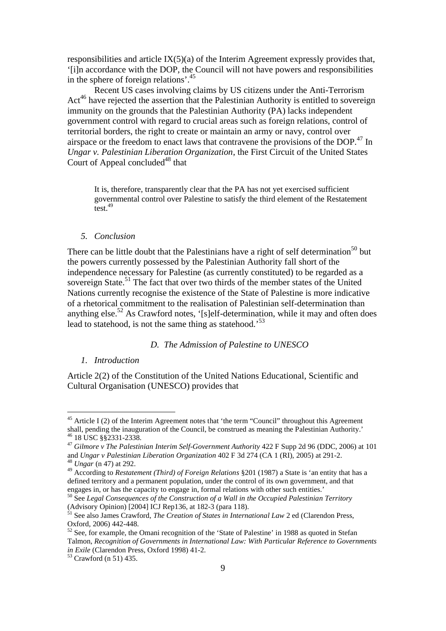responsibilities and article  $IX(5)(a)$  of the Interim Agreement expressly provides that, '[i]n accordance with the DOP, the Council will not have powers and responsibilities in the sphere of foreign relations'.45

Recent US cases involving claims by US citizens under the Anti-Terrorism Act<sup>46</sup> have rejected the assertion that the Palestinian Authority is entitled to sovereign immunity on the grounds that the Palestinian Authority (PA) lacks independent government control with regard to crucial areas such as foreign relations, control of territorial borders, the right to create or maintain an army or navy, control over airspace or the freedom to enact laws that contravene the provisions of the  $DOP<sup>47</sup>$ . In *Ungar v. Palestinian Liberation Organization*, the First Circuit of the United States Court of Appeal concluded $48$  that

It is, therefore, transparently clear that the PA has not yet exercised sufficient governmental control over Palestine to satisfy the third element of the Restatement test.<sup>49</sup>

#### *5. Conclusion*

There can be little doubt that the Palestinians have a right of self determination<sup>50</sup> but the powers currently possessed by the Palestinian Authority fall short of the independence necessary for Palestine (as currently constituted) to be regarded as a sovereign State.<sup>51</sup> The fact that over two thirds of the member states of the United Nations currently recognise the existence of the State of Palestine is more indicative of a rhetorical commitment to the realisation of Palestinian self-determination than anything else.<sup>52</sup> As Crawford notes, '[s]elf-determination, while it may and often does lead to statehood, is not the same thing as statehood.<sup>53</sup>

#### *D. The Admission of Palestine to UNESCO*

#### *1. Introduction*

Article 2(2) of the Constitution of the United Nations Educational, Scientific and Cultural Organisation (UNESCO) provides that

 $45$  Article I (2) of the Interim Agreement notes that 'the term "Council" throughout this Agreement shall, pending the inauguration of the Council, be construed as meaning the Palestinian Authority.' <sup>46</sup> 18 USC §§2331-2338.

<sup>&</sup>lt;sup>47</sup> *Gilmore v The Palestinian Interim Self-Government Authority* 422 F Supp 2d 96 (DDC, 2006) at 101 and *Ungar v Palestinian Liberation Organization* 402 F 3d 274 (CA 1 (RI), 2005) at 291-2. <sup>48</sup> *Ungar* (n 47) at 292.

<sup>49</sup> According to *Restatement (Third) of Foreign Relations* §201 (1987) a State is 'an entity that has a defined territory and a permanent population, under the control of its own government, and that engages in, or has the capacity to engage in, formal relations with other such entities.'

<sup>50</sup> See *Legal Consequences of the Construction of a Wall in the Occupied Palestinian Territory* (Advisory Opinion) [2004] ICJ Rep136, at 182-3 (para 118).

<sup>51</sup> See also James Crawford, *The Creation of States in International Law* 2 ed (Clarendon Press, Oxford, 2006) 442-448.

<sup>&</sup>lt;sup>52</sup> See, for example, the Omani recognition of the 'State of Palestine' in 1988 as quoted in Stefan Talmon, *Recognition of Governments in International Law: With Particular Reference to Governments in Exile* (Clarendon Press, Oxford 1998) 41-2.<br><sup>53</sup> Crawford (n 51) 435.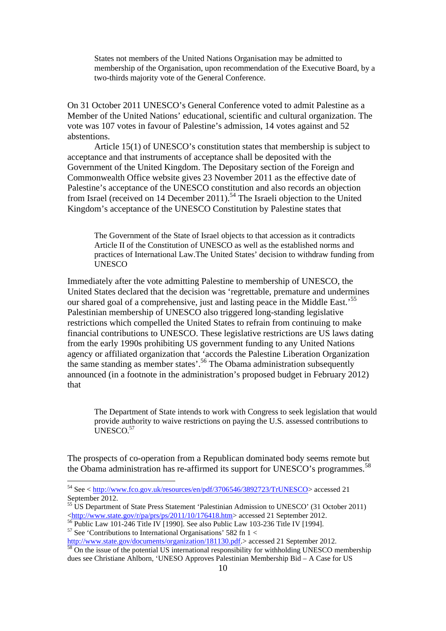States not members of the United Nations Organisation may be admitted to membership of the Organisation, upon recommendation of the Executive Board, by a two-thirds majority vote of the General Conference.

On 31 October 2011 UNESCO's General Conference voted to admit Palestine as a Member of the United Nations' educational, scientific and cultural organization. The vote was 107 votes in favour of Palestine's admission, 14 votes against and 52 abstentions.

Article 15(1) of UNESCO's constitution states that membership is subject to acceptance and that instruments of acceptance shall be deposited with the Government of the United Kingdom. The Depositary section of the Foreign and Commonwealth Office website gives 23 November 2011 as the effective date of Palestine's acceptance of the UNESCO constitution and also records an objection from Israel (received on 14 December 2011).<sup>54</sup> The Israeli objection to the United Kingdom's acceptance of the UNESCO Constitution by Palestine states that

The Government of the State of Israel objects to that accession as it contradicts Article II of the Constitution of UNESCO as well as the established norms and practices of International Law.The United States' decision to withdraw funding from **UNESCO** 

Immediately after the vote admitting Palestine to membership of UNESCO, the United States declared that the decision was 'regrettable, premature and undermines our shared goal of a comprehensive, just and lasting peace in the Middle East.<sup>55</sup> Palestinian membership of UNESCO also triggered long-standing legislative restrictions which compelled the United States to refrain from continuing to make financial contributions to UNESCO. These legislative restrictions are US laws dating from the early 1990s prohibiting US government funding to any United Nations agency or affiliated organization that 'accords the Palestine Liberation Organization the same standing as member states'.<sup>56</sup> The Obama administration subsequently announced (in a footnote in the administration's proposed budget in February 2012) that

The Department of State intends to work with Congress to seek legislation that would provide authority to waive restrictions on paying the U.S. assessed contributions to UNESCO.<sup>57</sup>

The prospects of co-operation from a Republican dominated body seems remote but the Obama administration has re-affirmed its support for UNESCO's programmes.<sup>58</sup>

<sup>54</sup> See < [http://www.fco.gov.uk/resources/en/pdf/3706546/3892723/TrUNESCO>](http://www.fco.gov.uk/resources/en/pdf/3706546/3892723/TrUNESCO) accessed 21 September 2012.

<sup>&</sup>lt;sup>55</sup> US Department of State Press Statement 'Palestinian Admission to UNESCO' (31 October 2011)  $\frac{\text{thttp://www.state.gov/r/pa/prs/ps/2011/10/176418.htm}}{56}$  accessed 21 September 2012.<br>
<sup>56</sup> Public Law 101-246 Title IV [1990]. See also Public Law 103-236 Title IV [1994].<br>
<sup>57</sup> See 'Contributions to International Organisations' 582 f

[http://www.state.gov/documents/organization/181130.pdf.>](http://www.state.gov/documents/organization/181130.pdf) accessed 21 September 2012.<br><sup>58</sup> On the issue of the potential US international responsibility for withholding UNESCO membership dues see Christiane Ahlborn, 'UNESO Approves Palestinian Membership Bid – A Case for US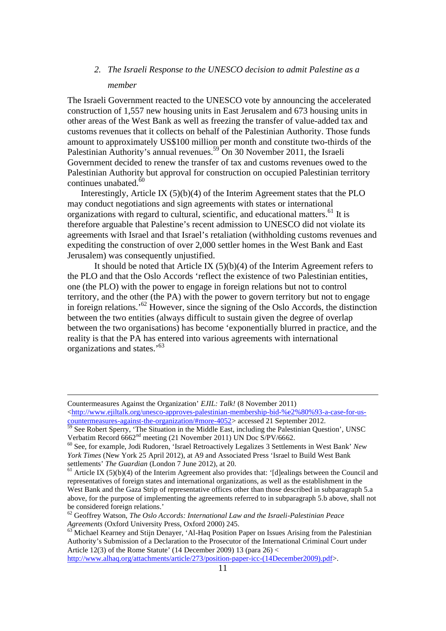### *2. The Israeli Response to the UNESCO decision to admit Palestine as a member*

The Israeli Government reacted to the UNESCO vote by announcing the accelerated construction of 1,557 new housing units in East Jerusalem and 673 housing units in other areas of the West Bank as well as freezing the transfer of value-added tax and customs revenues that it collects on behalf of the Palestinian Authority. Those funds amount to approximately US\$100 million per month and constitute two-thirds of the Palestinian Authority's annual revenues.<sup>59</sup> On 30 November 2011, the Israeli Government decided to renew the transfer of tax and customs revenues owed to the Palestinian Authority but approval for construction on occupied Palestinian territory continues unabated. $60$ 

Interestingly, Article IX (5)(b)(4) of the Interim Agreement states that the PLO may conduct negotiations and sign agreements with states or international organizations with regard to cultural, scientific, and educational matters.<sup>61</sup> It is therefore arguable that Palestine's recent admission to UNESCO did not violate its agreements with Israel and that Israel's retaliation (withholding customs revenues and expediting the construction of over 2,000 settler homes in the West Bank and East Jerusalem) was consequently unjustified.

It should be noted that Article IX  $(5)(b)(4)$  of the Interim Agreement refers to the PLO and that the Oslo Accords 'reflect the existence of two Palestinian entities, one (the PLO) with the power to engage in foreign relations but not to control territory, and the other (the PA) with the power to govern territory but not to engage in foreign relations.'62 However, since the signing of the Oslo Accords, the distinction between the two entities (always difficult to sustain given the degree of overlap between the two organisations) has become 'exponentially blurred in practice, and the reality is that the PA has entered into various agreements with international organizations and states.'<sup>63</sup>

[http://www.alhaq.org/attachments/article/273/position-paper-icc-\(14December2009\).pdf>](http://www.alhaq.org/attachments/article/273/position-paper-icc-(14December2009).pdf).

Countermeasures Against the Organization' *EJIL: Talk!* (8 November 2011) [<http://www.ejiltalk.org/unesco-approves-palestinian-membership-bid-%e2%80%93-a-case-for-us](http://www.ejiltalk.org/unesco-approves-palestinian-membership-bid-%e2%80%93-a-case-for-us-countermeasures-against-the-organization/#more-4052)[countermeasures-against-the-organization/#more-4052>](http://www.ejiltalk.org/unesco-approves-palestinian-membership-bid-%e2%80%93-a-case-for-us-countermeasures-against-the-organization/#more-4052) accessed 21 September 2012.

 $\frac{59}{59}$  See Robert Sperry, 'The Situation in the Middle East, including the Palestinian Question', UNSC Verbatim Record 6662<sup>nd</sup> meeting (21 November 2011) UN Doc S/PV/6662.

<sup>&</sup>lt;sup>60</sup> See, for example, Jodi Rudoren, 'Israel Retroactively Legalizes 3 Settlements in West Bank' *New York Times* (New York 25 April 2012), at A9 and Associated Press 'Israel to Build West Bank settlements' *The Guardian* (London 7 June 2012), at 20.

 $<sup>61</sup>$  Article IX (5)(b)(4) of the Interim Agreement also provides that: '[d]ealings between the Council and</sup> representatives of foreign states and international organizations, as well as the establishment in the West Bank and the Gaza Strip of representative offices other than those described in subparagraph 5.a above, for the purpose of implementing the agreements referred to in subparagraph 5.b above, shall not be considered foreign relations.'

<sup>62</sup> Geoffrey Watson, *The Oslo Accords: International Law and the Israeli-Palestinian Peace Agreements* (Oxford University Press, Oxford 2000) 245.<br><sup>63</sup> Michael Kearney and Stijn Denayer, 'Al-Haq Position Paper on Issues Arising from the Palestinian

Authority's Submission of a Declaration to the Prosecutor of the International Criminal Court under Article 12(3) of the Rome Statute' (14 December 2009) 13 (para 26) <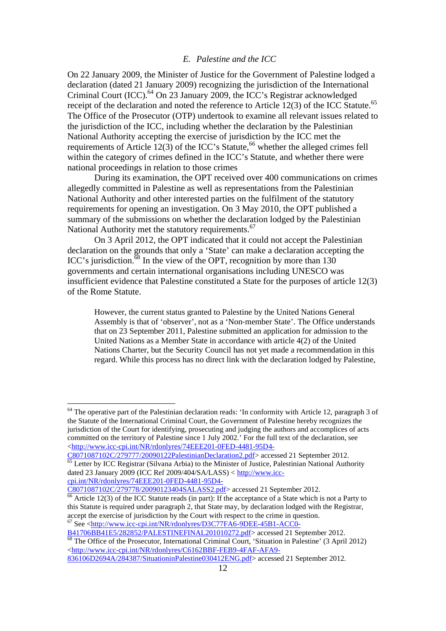#### *E. Palestine and the ICC*

On 22 January 2009, the Minister of Justice for the Government of Palestine lodged a declaration (dated 21 January 2009) recognizing the jurisdiction of the International Criminal Court (ICC).<sup>64</sup> On 23 January 2009, the ICC's Registrar acknowledged receipt of the declaration and noted the reference to Article 12(3) of the ICC Statute.<sup>65</sup> The Office of the Prosecutor (OTP) undertook to examine all relevant issues related to the jurisdiction of the ICC, including whether the declaration by the Palestinian National Authority accepting the exercise of jurisdiction by the ICC met the requirements of Article  $12(3)$  of the ICC's Statute,<sup>66</sup> whether the alleged crimes fell within the category of crimes defined in the ICC's Statute, and whether there were national proceedings in relation to those crimes

During its examination, the OPT received over 400 communications on crimes allegedly committed in Palestine as well as representations from the Palestinian National Authority and other interested parties on the fulfilment of the statutory requirements for opening an investigation. On 3 May 2010, the OPT published a summary of the submissions on whether the declaration lodged by the Palestinian National Authority met the statutory requirements.<sup>67</sup>

On 3 April 2012, the OPT indicated that it could not accept the Palestinian declaration on the grounds that only a 'State' can make a declaration accepting the ICC's jurisdiction. $\overline{68}$  In the view of the OPT, recognition by more than 130 governments and certain international organisations including UNESCO was insufficient evidence that Palestine constituted a State for the purposes of article 12(3) of the Rome Statute.

However, the current status granted to Palestine by the United Nations General Assembly is that of 'observer', not as a 'Non-member State'. The Office understands that on 23 September 2011, Palestine submitted an application for admission to the United Nations as a Member State in accordance with article 4(2) of the United Nations Charter, but the Security Council has not yet made a recommendation in this regard. While this process has no direct link with the declaration lodged by Palestine,

 $\overline{65}$  Letter by ICC Registrar (Silvana Arbia) to the Minister of Justice, Palestinian National Authority dated 23 January 2009 (ICC Ref 2009/404/SA/LASS) < [http://www.icc-](http://www.icc-cpi.int/NR/rdonlyres/74EEE201-0FED-4481-95D4-C8071087102C/279778/20090123404SALASS2.pdf)

[cpi.int/NR/rdonlyres/74EEE201-0FED-4481-95D4-](http://www.icc-cpi.int/NR/rdonlyres/74EEE201-0FED-4481-95D4-C8071087102C/279778/20090123404SALASS2.pdf)<br>C8071087102C/279778/20090123404SALASS2.pdf> accessed 21 September 2012.

 $64$  The operative part of the Palestinian declaration reads: 'In conformity with Article 12, paragraph 3 of the Statute of the International Criminal Court, the Government of Palestine hereby recognizes the jurisdiction of the Court for identifying, prosecuting and judging the authors and accomplices of acts committed on the territory of Palestine since 1 July 2002.' For the full text of the declaration, see [<http://www.icc-cpi.int/NR/rdonlyres/74EEE201-0FED-4481-95D4-](http://www.icc-cpi.int/NR/rdonlyres/74EEE201-0FED-4481-95D4-C8071087102C/279777/20090122PalestinianDeclaration2.pdf)<br>C8071087102C/279777/20090122PalestinianDeclaration2.pdf> accessed 21 September 2012.

 $\frac{66}{66}$  Article 12(3) of the ICC Statute reads (in part): If the acceptance of a State which is not a Party to this Statute is required under paragraph 2, that State may, by declaration lodged with the Registrar, accept the exercise of jurisdiction by the Court with respect to the crime in question. 67 See [<http://www.icc-cpi.int/NR/rdonlyres/D3C77FA6-9DEE-45B1-ACC0-](http://www.icc-cpi.int/NR/rdonlyres/D3C77FA6-9DEE-45B1-ACC0-B41706BB41E5/282852/PALESTINEFINAL201010272.pdf)

[B41706BB41E5/282852/PALESTINEFINAL201010272.pdf>](http://www.icc-cpi.int/NR/rdonlyres/D3C77FA6-9DEE-45B1-ACC0-B41706BB41E5/282852/PALESTINEFINAL201010272.pdf) accessed 21 September 2012.<br><sup>68</sup> The Office of the Prosecutor, International Criminal Court, 'Situation in Palestine' (3 April 2012) [<http://www.icc-cpi.int/NR/rdonlyres/C6162BBF-FEB9-4FAF-AFA9-](http://www.icc-cpi.int/NR/rdonlyres/C6162BBF-FEB9-4FAF-AFA9-836106D2694A/284387/SituationinPalestine030412ENG.pdf)

[<sup>836106</sup>D2694A/284387/SituationinPalestine030412ENG.pdf>](http://www.icc-cpi.int/NR/rdonlyres/C6162BBF-FEB9-4FAF-AFA9-836106D2694A/284387/SituationinPalestine030412ENG.pdf) accessed 21 September 2012.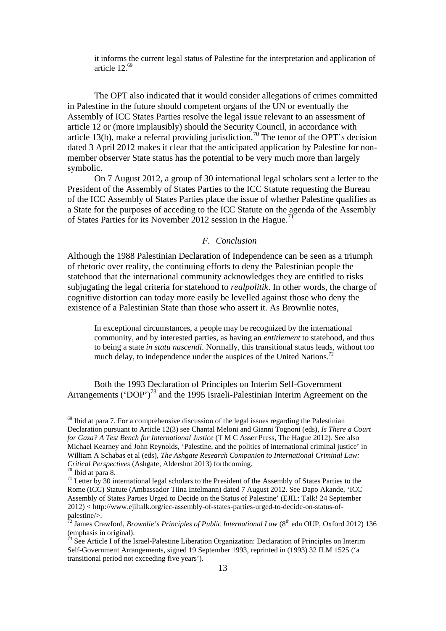it informs the current legal status of Palestine for the interpretation and application of article 12.69

The OPT also indicated that it would consider allegations of crimes committed in Palestine in the future should competent organs of the UN or eventually the Assembly of ICC States Parties resolve the legal issue relevant to an assessment of article 12 or (more implausibly) should the Security Council, in accordance with article 13(b), make a referral providing jurisdiction.<sup>70</sup> The tenor of the OPT's decision dated 3 April 2012 makes it clear that the anticipated application by Palestine for nonmember observer State status has the potential to be very much more than largely symbolic.

On 7 August 2012, a group of 30 international legal scholars sent a letter to the President of the Assembly of States Parties to the ICC Statute requesting the Bureau of the ICC Assembly of States Parties place the issue of whether Palestine qualifies as a State for the purposes of acceding to the ICC Statute on the agenda of the Assembly of States Parties for its November 2012 session in the Hague.<sup>71</sup>

#### *F. Conclusion*

Although the 1988 Palestinian Declaration of Independence can be seen as a triumph of rhetoric over reality, the continuing efforts to deny the Palestinian people the statehood that the international community acknowledges they are entitled to risks subjugating the legal criteria for statehood to *realpolitik*. In other words, the charge of cognitive distortion can today more easily be levelled against those who deny the existence of a Palestinian State than those who assert it. As Brownlie notes,

In exceptional circumstances, a people may be recognized by the international community, and by interested parties, as having an *entitlement* to statehood, and thus to being a state *in statu nascendi*. Normally, this transitional status leads, without too much delay, to independence under the auspices of the United Nations.<sup>72</sup>

Both the 1993 Declaration of Principles on Interim Self-Government Arrangements ('DOP')<sup>73</sup> and the 1995 Israeli-Palestinian Interim Agreement on the

 $69$  Ibid at para 7. For a comprehensive discussion of the legal issues regarding the Palestinian Declaration pursuant to Article 12(3) see Chantal Meloni and Gianni Tognoni (eds), *Is There a Court for Gaza? A Test Bench for International Justice* (T M C Asser Press, The Hague 2012). See also Michael Kearney and John Reynolds, 'Palestine, and the politics of international criminal justice' in William A Schabas et al (eds), *The Ashgate Research Companion to International Criminal Law:* 

<sup>&</sup>lt;sup>70</sup> Ibid at para 8.<br><sup>71</sup> Letter by 30 international legal scholars to the President of the Assembly of States Parties to the Rome (ICC) Statute (Ambassador Tiina Intelmann) dated 7 August 2012. See Dapo Akande, 'ICC Assembly of States Parties Urged to Decide on the Status of Palestine' (EJIL: Talk! 24 September 2012) < http://www.ejiltalk.org/icc-assembly-of-states-parties-urged-to-decide-on-status-ofpalestine/>.

<sup>&</sup>lt;sup>72</sup> James Crawford, *Brownlie's Principles of Public International Law* (8<sup>th</sup> edn OUP, Oxford 2012) 136 (emphasis in original).

 $\frac{73}{13}$  See Article I of the Israel-Palestine Liberation Organization: Declaration of Principles on Interim Self-Government Arrangements, signed 19 September 1993, reprinted in (1993) 32 ILM 1525 ('a transitional period not exceeding five years').